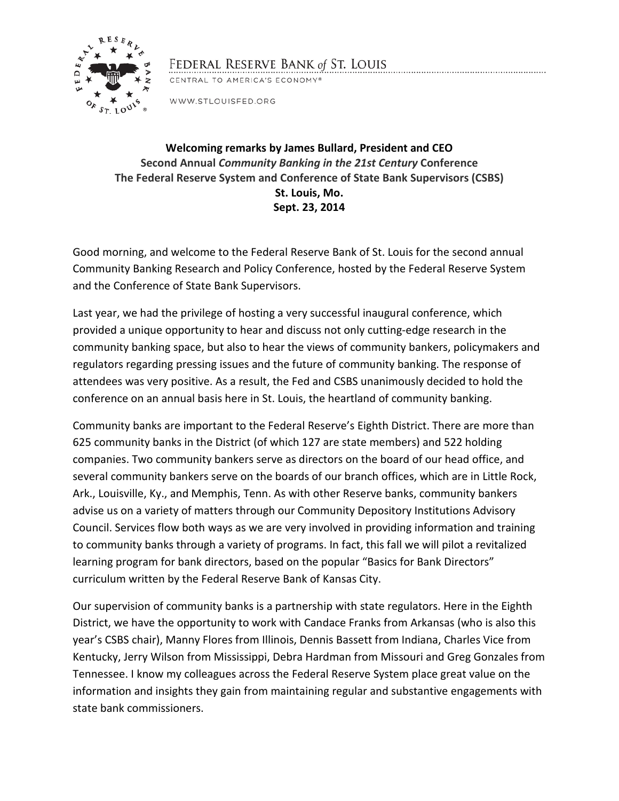

## FEDERAL RESERVE BANK of ST. LOUIS

CENTRAL TO AMERICA'S ECONOMY®

WWW.STLOUISFED.ORG

## **Welcoming remarks by James Bullard, President and CEO Second Annual** *Community Banking in the 21st Century* **Conference The Federal Reserve System and Conference of State Bank Supervisors (CSBS) St. Louis, Mo. Sept. 23, 2014**

Good morning, and welcome to the Federal Reserve Bank of St. Louis for the second annual Community Banking Research and Policy Conference, hosted by the Federal Reserve System and the Conference of State Bank Supervisors.

Last year, we had the privilege of hosting a very successful inaugural conference, which provided a unique opportunity to hear and discuss not only cutting-edge research in the community banking space, but also to hear the views of community bankers, policymakers and regulators regarding pressing issues and the future of community banking. The response of attendees was very positive. As a result, the Fed and CSBS unanimously decided to hold the conference on an annual basis here in St. Louis, the heartland of community banking.

Community banks are important to the Federal Reserve's Eighth District. There are more than 625 community banks in the District (of which 127 are state members) and 522 holding companies. Two community bankers serve as directors on the board of our head office, and several community bankers serve on the boards of our branch offices, which are in Little Rock, Ark., Louisville, Ky., and Memphis, Tenn. As with other Reserve banks, community bankers advise us on a variety of matters through our Community Depository Institutions Advisory Council. Services flow both ways as we are very involved in providing information and training to community banks through a variety of programs. In fact, this fall we will pilot a revitalized learning program for bank directors, based on the popular "Basics for Bank Directors" curriculum written by the Federal Reserve Bank of Kansas City.

Our supervision of community banks is a partnership with state regulators. Here in the Eighth District, we have the opportunity to work with Candace Franks from Arkansas (who is also this year's CSBS chair), Manny Flores from Illinois, Dennis Bassett from Indiana, Charles Vice from Kentucky, Jerry Wilson from Mississippi, Debra Hardman from Missouri and Greg Gonzales from Tennessee. I know my colleagues across the Federal Reserve System place great value on the information and insights they gain from maintaining regular and substantive engagements with state bank commissioners.